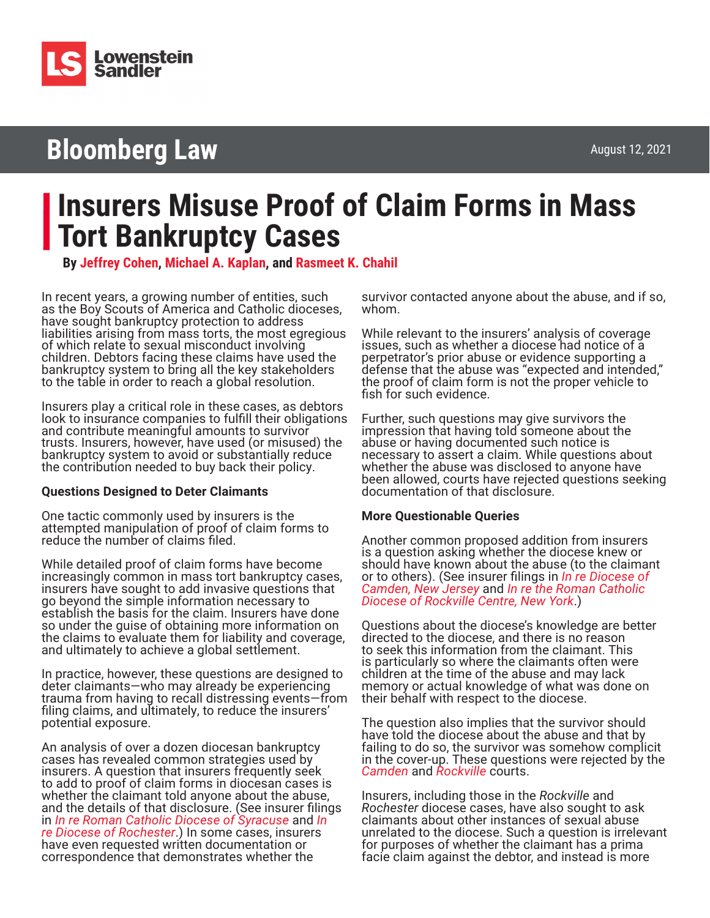

## **Bloomberg Law**

# **Insurers Misuse Proof of Claim Forms in Mass Tort Bankruptcy Cases**

**By [Jeffrey Cohen,](https://www.lowenstein.com/people/attorneys/jeffrey-cohen) [Michael A. Kaplan](https://www.lowenstein.com/people/attorneys/michael-kaplan), and [Rasmeet K. Chahil](https://www.lowenstein.com/people/attorneys/rasmeet-chahil)**

In recent years, a growing number of entities, such as the Boy Scouts of America and Catholic dioceses, have sought bankruptcy protection to address liabilities arising from mass torts, the most egregious of which relate to sexual misconduct involving children. Debtors facing these claims have used the bankruptcy system to bring all the key stakeholders to the table in order to reach a global resolution.

Insurers play a critical role in these cases, as debtors look to insurance companies to fulfill their obligations and contribute meaningful amounts to survivor trusts. Insurers, however, have used (or misused) the bankruptcy system to avoid or substantially reduce the contribution needed to buy back their policy.

#### **Questions Designed to Deter Claimants**

One tactic commonly used by insurers is the attempted manipulation of proof of claim forms to reduce the number of claims filed.

While detailed proof of claim forms have become increasingly common in mass tort bankruptcy cases, insurers have sought to add invasive questions that go beyond the simple information necessary to establish the basis for the claim. Insurers have done so under the guise of obtaining more information on the claims to evaluate them for liability and coverage, and ultimately to achieve a global settlement.

In practice, however, these questions are designed to deter claimants—who may already be experiencing trauma from having to recall distressing events—from filing claims, and ultimately, to reduce the insurers' potential exposure.

An analysis of over a dozen diocesan bankruptcy cases has revealed common strategies used by insurers. A question that insurers frequently seek to add to proof of claim forms in diocesan cases is whether the claimant told anyone about the abuse, and the details of that disclosure. (See insurer filings in *[In re Roman Catholic Diocese of Syracuse](https://www.lowenstein.com/media/6998/1-syracuse-dkt-194-insurer-filing.pdf)* and *[In](https://www.lowenstein.com/media/6999/2-rochester-dkts-394-395-insurer-filings.pdf)  re Diocese of Rochester*.) In some cases, insurers [have even requested wr](https://www.lowenstein.com/media/6999/2-rochester-dkts-394-395-insurer-filings.pdf)itten documentation or correspondence that demonstrates whether the

survivor contacted anyone about the abuse, and if so, whom.

While relevant to the insurers' analysis of coverage issues, such as whether a diocese had notice of a perpetrator's prior abuse or evidence supporting a defense that the abuse was "expected and intended," the proof of claim form is not the proper vehicle to fish for such evidence.

Further, such questions may give survivors the impression that having told someone about the abuse or having documented such notice is necessary to assert a claim. While questions about whether the abuse was disclosed to anyone have been allowed, courts have rejected questions seeking documentation of that disclosure.

#### **More Questionable Queries**

Another common proposed addition from insurers is a question asking whether the diocese knew or should have known about the abuse (to the claimant or to others). (See insurer filings in *[In re Diocese of](https://www.lowenstein.com/media/7000/3-camden-dkt-254-insurer-filing.pdf)  [Camden, New Jersey](https://www.lowenstein.com/media/7000/3-camden-dkt-254-insurer-filing.pdf)* and *[In re the Roman Catholic](https://www.lowenstein.com/media/7001/4-rockville-dkt-229-committee-support-reply.pdf)  [Diocese of Rockville Centre, New York](https://www.lowenstein.com/media/7001/4-rockville-dkt-229-committee-support-reply.pdf)*.)

Questions about the diocese's knowledge are better directed to the diocese, and there is no reason to seek this information from the claimant. This is particularly so where the claimants often were children at the time of the abuse and may lack memory or actual knowledge of what was done on their behalf with respect to the diocese.

The question also implies that the survivor should have told the diocese about the abuse and that by failing to do so, the survivor was somehow complicit in the cover-up. These questions were rejected by the *[Camden](https://www.lowenstein.com/media/7002/5-and-7-camden-dkt-409-bar-date-order.pdf)* and *[Rockville](https://www.lowenstein.com/media/7003/6-rockville-dkt-333-bar-date-order.pdf)* courts.

Insurers, including those in the *Rockville* and *Rochester* diocese cases, have also sought to ask claimants about other instances of sexual abuse unrelated to the diocese. Such a question is irrelevant for purposes of whether the claimant has a prima facie claim against the debtor, and instead is more